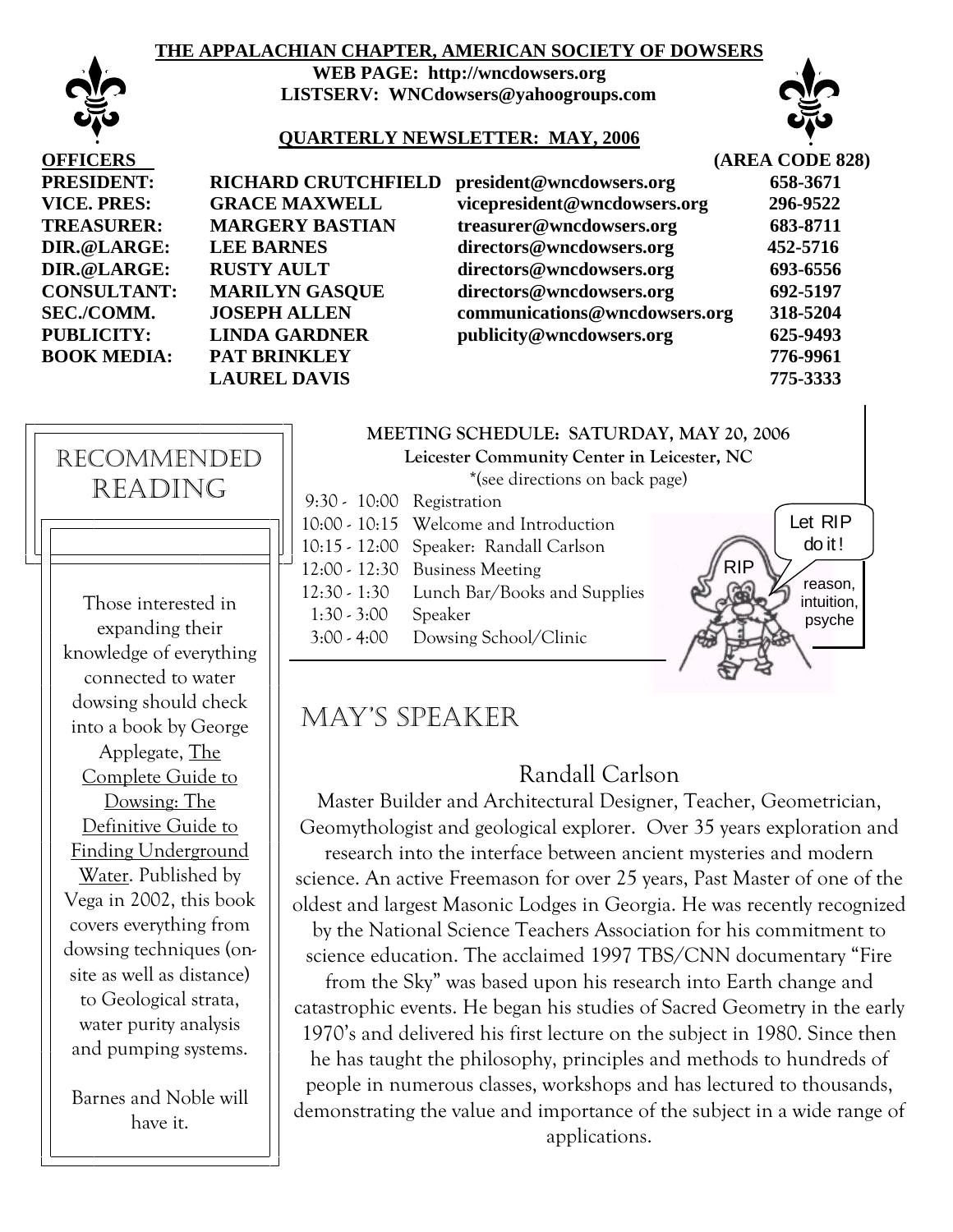### **THE APPALACHIAN CHAPTER, AMERICAN SOCIETY OF DOWSERS**



**WEB PAGE: http://wncdowsers.org LISTSERV: WNCdowsers@yahoogroups.com** 



#### **QUARTERLY NEWSLETTER: MAY, 2006**

| <b>OFFICERS</b>    |                            |
|--------------------|----------------------------|
| <b>PRESIDENT:</b>  | <b>RICHARD CRUTCHFIELD</b> |
| VICE. PRES:        | <b>GRACE MAXWELL</b>       |
| <b>TREASURER:</b>  | <b>MARGERY BASTIAN</b>     |
| DIR.@LARGE:        | <b>LEE BARNES</b>          |
| DIR.@LARGE:        | <b>RUSTY AULT</b>          |
| <b>CONSULTANT:</b> | <b>MARILYN GASQUE</b>      |
| SEC./COMM.         | <b>JOSEPH ALLEN</b>        |
| <b>PUBLICITY:</b>  | <b>LINDA GARDNER</b>       |
| <b>BOOK MEDIA:</b> | <b>PAT BRINKLEY</b>        |
|                    | <b>LAUREL DAVIS</b>        |
|                    |                            |

| <b>OFFICERS</b>    |                            |                               | (AREA CODE 828) |
|--------------------|----------------------------|-------------------------------|-----------------|
| <b>PRESIDENT:</b>  | <b>RICHARD CRUTCHFIELD</b> | president@wncdowsers.org      | 658-3671        |
| <b>VICE. PRES:</b> | <b>GRACE MAXWELL</b>       | vicepresident@wncdowsers.org  | 296-9522        |
| <b>TREASURER:</b>  | <b>MARGERY BASTIAN</b>     | treasurer@wncdowsers.org      | 683-8711        |
| DIR.@LARGE:        | <b>LEE BARNES</b>          | directors@wncdowsers.org      | 452-5716        |
| DIR.@LARGE:        | <b>RUSTY AULT</b>          | directors@wncdowsers.org      | 693-6556        |
| <b>CONSULTANT:</b> | <b>MARILYN GASQUE</b>      | directors@wncdowsers.org      | 692-5197        |
| <b>SEC./COMM.</b>  | <b>JOSEPH ALLEN</b>        | communications@wncdowsers.org | 318-5204        |
| <b>PUBLICITY:</b>  | <b>LINDA GARDNER</b>       | publicity@wncdowsers.org      | 625-9493        |
| <b>BOOK MEDIA:</b> | PAT BRINKLEY               |                               | 776-9961        |
|                    | <b>LAUREL DAVIS</b>        |                               | 775-3333        |



connected to water dowsing should check into a book by George Applegate, The Complete Guide to Dowsing: The Definitive Guide to Finding Underground Water. Published by Vega in 2002, this book covers everything from dowsing techniques (onsite as well as distance) to Geological strata, water purity analysis and pumping systems.

Barnes and Noble will have it.

### **MEETING SCHEDULE: SATURDAY, MAY 20, 2006**

**Leicester Community Center in Leicester, NC** 

\*(see directions on back page)

| 9:30 - 10:00 Registration |                                        |
|---------------------------|----------------------------------------|
|                           | 10:00 - 10:15 Welcome and Introduction |
|                           | 10:15 - 12:00 Speaker: Randall Carlson |
|                           | 12:00 - 12:30 Business Meeting         |
| 12:30 - 1:30              | Lunch Bar/Books and Supplies           |
| $1:30 - 3:00$             | Speaker                                |
| $3:00 - 4:00$             | Dowsing School/Clinic                  |



## MAY'S SPEAKER

## Randall Carlson

Master Builder and Architectural Designer, Teacher, Geometrician, Geomythologist and geological explorer. Over 35 years exploration and research into the interface between ancient mysteries and modern science. An active Freemason for over 25 years, Past Master of one of the oldest and largest Masonic Lodges in Georgia. He was recently recognized by the National Science Teachers Association for his commitment to science education. The acclaimed 1997 TBS/CNN documentary "Fire from the Sky" was based upon his research into Earth change and catastrophic events. He began his studies of Sacred Geometry in the early 1970's and delivered his first lecture on the subject in 1980. Since then

he has taught the philosophy, principles and methods to hundreds of people in numerous classes, workshops and has lectured to thousands, demonstrating the value and importance of the subject in a wide range of applications.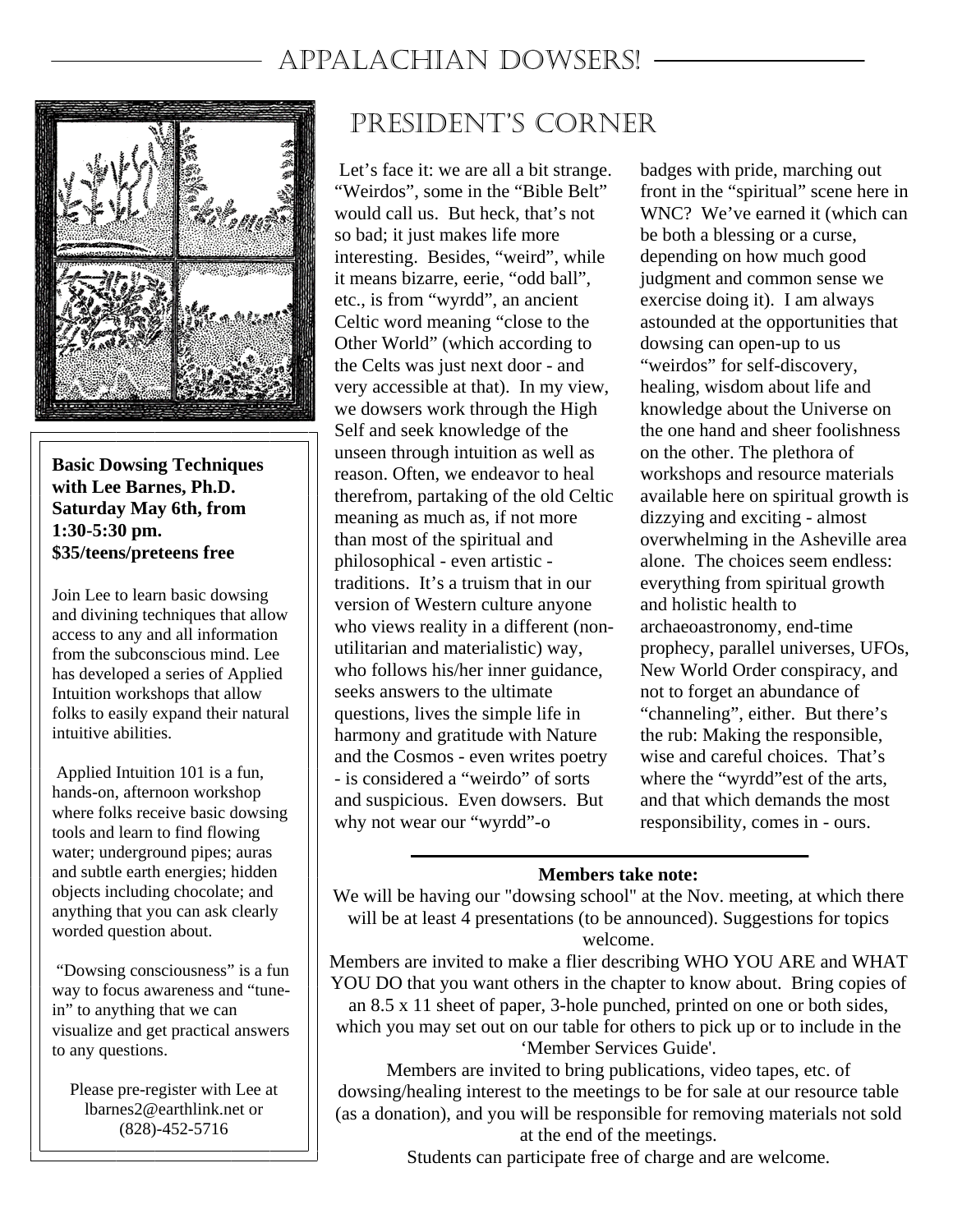# APPALACHIAN DOWSERS!



**Basic Dowsing Techniques with Lee Barnes, Ph.D. Saturday May 6th, from 1:30-5:30 pm. \$35/teens/preteens free** 

Join Lee to learn basic dowsing and divining techniques that allow access to any and all information from the subconscious mind. Lee has developed a series of Applied Intuition workshops that allow folks to easily expand their natural intuitive abilities.

 Applied Intuition 101 is a fun, hands-on, afternoon workshop where folks receive basic dowsing tools and learn to find flowing water; underground pipes; auras and subtle earth energies; hidden objects including chocolate; and anything that you can ask clearly worded question about.

 "Dowsing consciousness" is a fun way to focus awareness and "tunein" to anything that we can visualize and get practical answers to any questions.

Please pre-register with Lee at lbarnes2@earthlink.net or (828)-452-5716

# PRESIDENT'S CORNER

 Let's face it: we are all a bit strange. "Weirdos", some in the "Bible Belt" would call us. But heck, that's not so bad; it just makes life more interesting. Besides, "weird", while it means bizarre, eerie, "odd ball", etc., is from "wyrdd", an ancient Celtic word meaning "close to the Other World" (which according to the Celts was just next door - and very accessible at that). In my view, we dowsers work through the High Self and seek knowledge of the unseen through intuition as well as reason. Often, we endeavor to heal therefrom, partaking of the old Celtic meaning as much as, if not more than most of the spiritual and philosophical - even artistic traditions. It's a truism that in our version of Western culture anyone who views reality in a different (nonutilitarian and materialistic) way, who follows his/her inner guidance, seeks answers to the ultimate questions, lives the simple life in harmony and gratitude with Nature and the Cosmos - even writes poetry - is considered a "weirdo" of sorts and suspicious. Even dowsers. But why not wear our "wyrdd"-o

badges with pride, marching out front in the "spiritual" scene here in WNC? We've earned it (which can be both a blessing or a curse, depending on how much good judgment and common sense we exercise doing it). I am always astounded at the opportunities that dowsing can open-up to us "weirdos" for self-discovery, healing, wisdom about life and knowledge about the Universe on the one hand and sheer foolishness on the other. The plethora of workshops and resource materials available here on spiritual growth is dizzying and exciting - almost overwhelming in the Asheville area alone. The choices seem endless: everything from spiritual growth and holistic health to archaeoastronomy, end-time prophecy, parallel universes, UFOs, New World Order conspiracy, and not to forget an abundance of "channeling", either. But there's the rub: Making the responsible, wise and careful choices. That's where the "wyrdd"est of the arts, and that which demands the most responsibility, comes in - ours.

### **Members take note:**

We will be having our "dowsing school" at the Nov. meeting, at which there will be at least 4 presentations (to be announced). Suggestions for topics welcome.

Members are invited to make a flier describing WHO YOU ARE and WHAT YOU DO that you want others in the chapter to know about. Bring copies of

an 8.5 x 11 sheet of paper, 3-hole punched, printed on one or both sides, which you may set out on our table for others to pick up or to include in the 'Member Services Guide'.

Members are invited to bring publications, video tapes, etc. of dowsing/healing interest to the meetings to be for sale at our resource table (as a donation), and you will be responsible for removing materials not sold at the end of the meetings.

Students can participate free of charge and are welcome.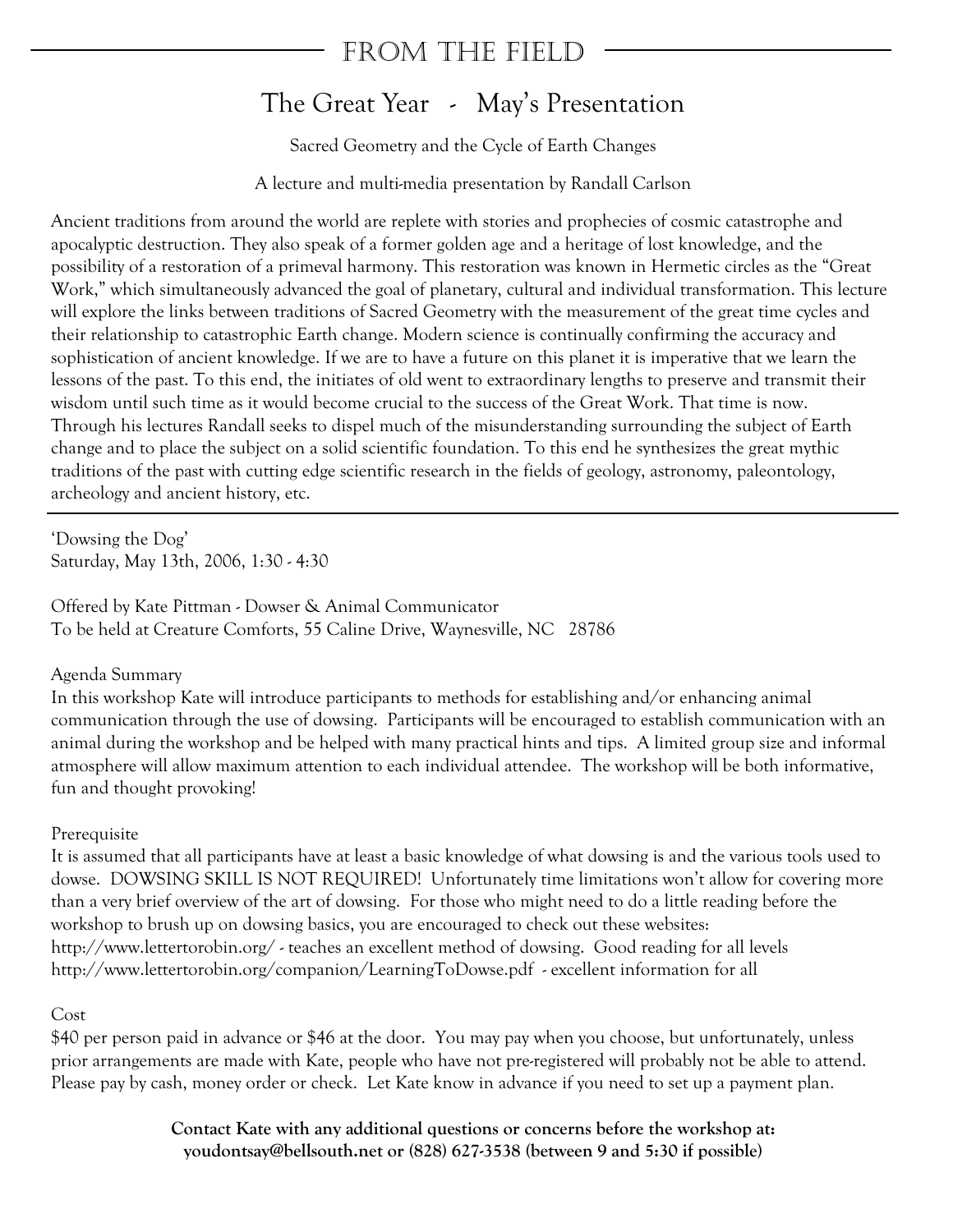## FROM THE FIELD

## The Great Year - May's Presentation

Sacred Geometry and the Cycle of Earth Changes

A lecture and multi-media presentation by Randall Carlson

Ancient traditions from around the world are replete with stories and prophecies of cosmic catastrophe and apocalyptic destruction. They also speak of a former golden age and a heritage of lost knowledge, and the possibility of a restoration of a primeval harmony. This restoration was known in Hermetic circles as the "Great Work," which simultaneously advanced the goal of planetary, cultural and individual transformation. This lecture will explore the links between traditions of Sacred Geometry with the measurement of the great time cycles and their relationship to catastrophic Earth change. Modern science is continually confirming the accuracy and sophistication of ancient knowledge. If we are to have a future on this planet it is imperative that we learn the lessons of the past. To this end, the initiates of old went to extraordinary lengths to preserve and transmit their wisdom until such time as it would become crucial to the success of the Great Work. That time is now. Through his lectures Randall seeks to dispel much of the misunderstanding surrounding the subject of Earth change and to place the subject on a solid scientific foundation. To this end he synthesizes the great mythic traditions of the past with cutting edge scientific research in the fields of geology, astronomy, paleontology, archeology and ancient history, etc.

'Dowsing the Dog' Saturday, May 13th, 2006, 1:30 - 4:30

Offered by Kate Pittman - Dowser & Animal Communicator To be held at Creature Comforts, 55 Caline Drive, Waynesville, NC 28786

### Agenda Summary

In this workshop Kate will introduce participants to methods for establishing and/or enhancing animal communication through the use of dowsing. Participants will be encouraged to establish communication with an animal during the workshop and be helped with many practical hints and tips. A limited group size and informal atmosphere will allow maximum attention to each individual attendee. The workshop will be both informative, fun and thought provoking!

### Prerequisite

It is assumed that all participants have at least a basic knowledge of what dowsing is and the various tools used to dowse. DOWSING SKILL IS NOT REQUIRED! Unfortunately time limitations won't allow for covering more than a very brief overview of the art of dowsing. For those who might need to do a little reading before the workshop to brush up on dowsing basics, you are encouraged to check out these websites: http://www.lettertorobin.org/ - teaches an excellent method of dowsing. Good reading for all levels http://www.lettertorobin.org/companion/LearningToDowse.pdf - excellent information for all

### Cost

\$40 per person paid in advance or \$46 at the door. You may pay when you choose, but unfortunately, unless prior arrangements are made with Kate, people who have not pre-registered will probably not be able to attend. Please pay by cash, money order or check. Let Kate know in advance if you need to set up a payment plan.

> **Contact Kate with any additional questions or concerns before the workshop at: youdontsay@bellsouth.net or (828) 627-3538 (between 9 and 5:30 if possible)**